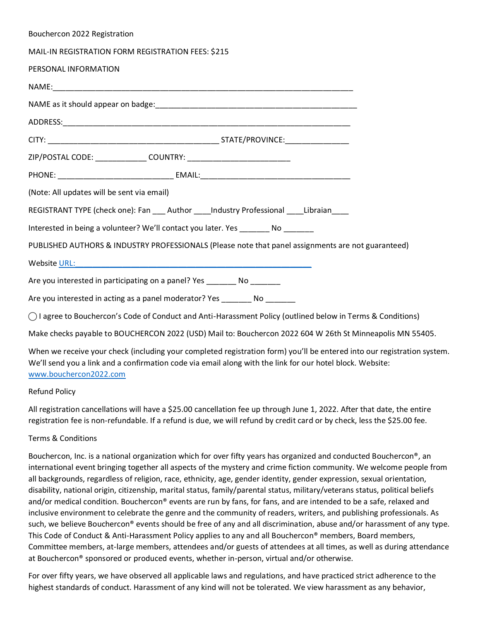| Bouchercon 2022 Registration                                                                                                                                                                                                   |
|--------------------------------------------------------------------------------------------------------------------------------------------------------------------------------------------------------------------------------|
| MAIL-IN REGISTRATION FORM REGISTRATION FEES: \$215                                                                                                                                                                             |
| PERSONAL INFORMATION                                                                                                                                                                                                           |
|                                                                                                                                                                                                                                |
|                                                                                                                                                                                                                                |
|                                                                                                                                                                                                                                |
|                                                                                                                                                                                                                                |
|                                                                                                                                                                                                                                |
|                                                                                                                                                                                                                                |
| (Note: All updates will be sent via email)                                                                                                                                                                                     |
| REGISTRANT TYPE (check one): Fan ___ Author ____Industry Professional ____Libraian___                                                                                                                                          |
| Interested in being a volunteer? We'll contact you later. Yes _______ No _______                                                                                                                                               |
| PUBLISHED AUTHORS & INDUSTRY PROFESSIONALS (Please note that panel assignments are not guaranteed)                                                                                                                             |
| Website URL: New York Contract Contract Contract Contract Contract Contract Contract Contract Contract Contract Contract Contract Contract Contract Contract Contract Contract Contract Contract Contract Contract Contract Co |
| Are you interested in participating on a panel? Yes _______ No _______                                                                                                                                                         |
| Are you interested in acting as a panel moderator? Yes ________ No _______                                                                                                                                                     |
| ◯ I agree to Bouchercon's Code of Conduct and Anti-Harassment Policy (outlined below in Terms & Conditions)                                                                                                                    |
| Make checks payable to BOUCHERCON 2022 (USD) Mail to: Bouchercon 2022 604 W 26th St Minneapolis MN 55405.                                                                                                                      |

When we receive your check (including your completed registration form) you'll be entered into our registration system. We'll send you a link and a confirmation code via email along with the link for our hotel block. Website: [www.bouchercon2022.com](http://www.bouchercon2022.com/)

## Refund Policy

All registration cancellations will have a \$25.00 cancellation fee up through June 1, 2022. After that date, the entire registration fee is non-refundable. If a refund is due, we will refund by credit card or by check, less the \$25.00 fee.

## Terms & Conditions

Bouchercon, Inc. is a national organization which for over fifty years has organized and conducted Bouchercon®, an international event bringing together all aspects of the mystery and crime fiction community. We welcome people from all backgrounds, regardless of religion, race, ethnicity, age, gender identity, gender expression, sexual orientation, disability, national origin, citizenship, marital status, family/parental status, military/veterans status, political beliefs and/or medical condition. Bouchercon® events are run by fans, for fans, and are intended to be a safe, relaxed and inclusive environment to celebrate the genre and the community of readers, writers, and publishing professionals. As such, we believe Bouchercon® events should be free of any and all discrimination, abuse and/or harassment of any type. This Code of Conduct & Anti-Harassment Policy applies to any and all Bouchercon® members, Board members, Committee members, at-large members, attendees and/or guests of attendees at all times, as well as during attendance at Bouchercon® sponsored or produced events, whether in-person, virtual and/or otherwise.

For over fifty years, we have observed all applicable laws and regulations, and have practiced strict adherence to the highest standards of conduct. Harassment of any kind will not be tolerated. We view harassment as any behavior,